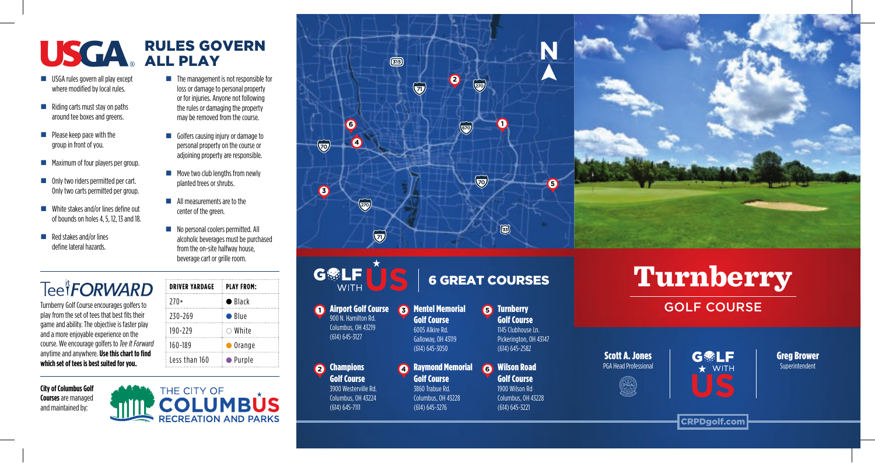## RULES GOVERN ALL PLAY

 $\blacksquare$  The management is not responsible for loss or damage to personal property or for injuries. Anyone not following the rules or damaging the property may be removed from the course. Golfers causing injury or damage to personal property on the course or adjoining property are responsible.  $\blacksquare$  Move two club lengths from newly planted trees or shrubs. **All measurements are to the** center of the green.

No personal coolers permitted. All alcoholic beverages must be purchased from the on-site halfway house, beverage cart or grille room.

**DRIVER YARDAGE PLAY FROM:**  $270+$  Black 230-269 Blue 190-229 White 160-189 Orange Less than 160 Purple

- USGA rules govern all play except where modified by local rules.
- $\blacksquare$  Riding carts must stay on paths around tee boxes and greens.
- **Please keep pace with the** group in front of you.
- **Maximum of four players per group.**
- Only two riders permitted per cart. Only two carts permitted per group.
- White stakes and/or lines define out of bounds on holes 4, 5, 12, 13 and 18.
- $\blacksquare$  Red stakes and/or lines define lateral hazards.

## Tee<sup>it</sup>**FORWARD**

Turnberry Golf Course encourages golfers to play from the set of tees that best fits their game and ability. The objective is faster play and a more enjoyable experience on the course. We encourage golfers to *Tee It Forward* anytime and anywhere. **Use this chart to find which set of tees is best suited for you.**

**City of Columbus Golf Courses** are managed and maintained by:

| <b>ACTIVATE CITY OF</b> |  |
|-------------------------|--|
| <b>THE COLUMBUS</b>     |  |
|                         |  |
|                         |  |

| $\circledcirc$                           |                                              |           |  |
|------------------------------------------|----------------------------------------------|-----------|--|
| $\widetilde{\mathbf{v}}$                 | $\bullet$<br>$\left(\frac{1}{2}a\right)$     |           |  |
| $\bullet$<br>$\bullet$<br>$\bigcirc$     | $\left(\overline{50}\right)$                 |           |  |
| $\bullet$<br>$\widetilde{\circ}$         | $\bigcirc$                                   | $\bullet$ |  |
| $\widetilde{\mathbf{v}}$<br>$\mathbf{A}$ | $\qquad \qquad \textcircled{\scriptsize{H}}$ |           |  |



|              | <b>Turnberry</b> |
|--------------|------------------|
| CALE CALIBEE |                  |